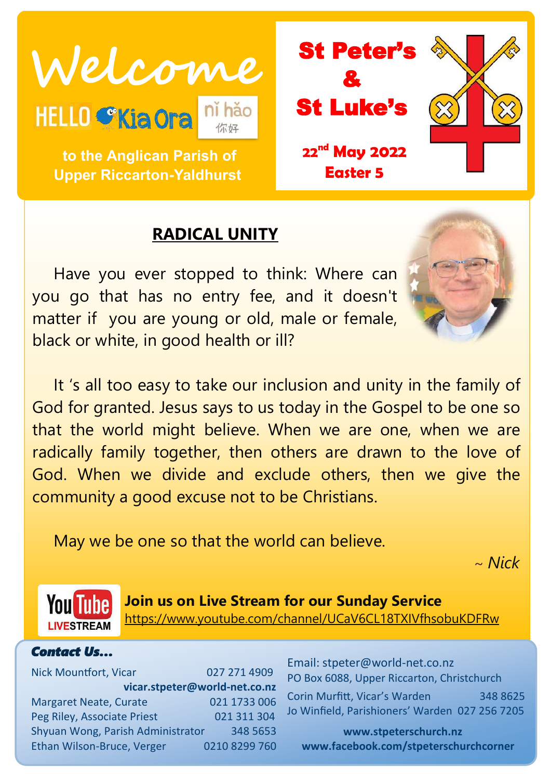Welcome<br>HELLO SKia Ora ni hão **St Luke's** 

 **to the Anglican Parish of Upper Riccarton-Yaldhurst**

# **RADICAL UNITY**

Have you ever stopped to think: Where can you go that has no entry fee, and it doesn't matter if you are young or old, male or female, black or white, in good health or ill?

It 's all too easy to take our inclusion and unity in the family of God for granted. Jesus says to us today in the Gospel to be one so that the world might believe. When we are one, when we are radically family together, then others are drawn to the love of God. When we divide and exclude others, then we give the community a good excuse not to be Christians.

May we be one so that the world can believe.

~ *Nick*



**Join us on Live Stream for our Sunday Service** <https://www.youtube.com/channel/UCaV6CL18TXIVfhsobuKDFRw>

#### *Contact Us…*

Nick Mountfort, Vicar 027 271 4909 **vicar.stpeter@world-net.co.nz** Margaret Neate, Curate 021 1733 006 Peg Riley, Associate Priest 021 311 304 Shyuan Wong, Parish Administrator 348 5653 Ethan Wilson-Bruce, Verger 0210 8299 760 Email: stpeter@world-net.co.nz PO Box 6088, Upper Riccarton, Christchurch Corin Murfitt, Vicar's Warden 348 8625 Jo Winfield, Parishioners' Warden 027 256 7205

**www.stpeterschurch.nz www.facebook.com/stpeterschurchcorner**



&

St Luke's

**22nd May 2022**

**Easter 5**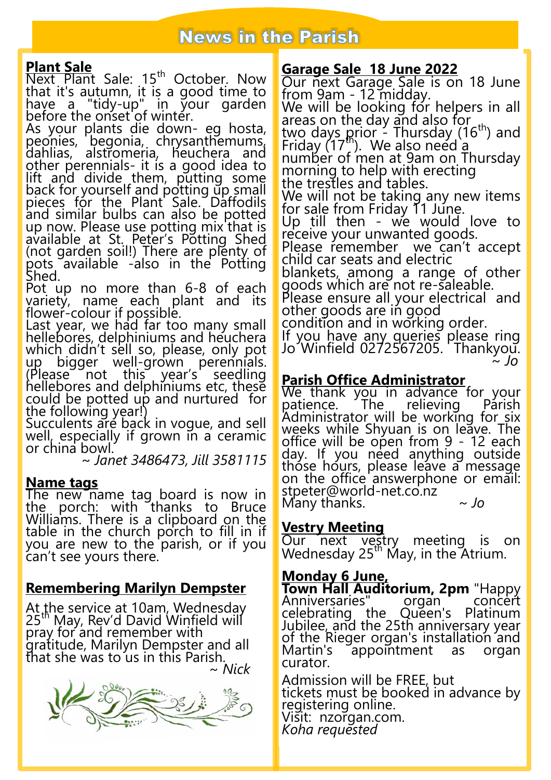# **News in the Parish**

#### **Plant Sale**

Next Plant Sale: 15<sup>th</sup> October. Now that it's autumn, it is a good time to have a "tidy-up" in your garden before the onset of winter.

As your plants die down- eg hosta, peonies, begonia, chrysanthemums, dahlias, alstromeria, heuchera and other perennials- it is a good idea to lift and divide them, putting some back for yourself and potting up small pieces fór the Plant Sale. Daffodils and similar bulbs can also be potted up now. Please use potting mix that is available at St. Peter's Potting Shed (not garden soil!) There are plenty of pots available -also in the Potting Shed.

Pot up no more than 6-8 of each variety, name each plant and its flower-colour if possible.

Last year, we had far too many small hellebores, delphiniums and heuchera which didn't sell so, please, only pot up bigger well-grown perennials.<br>(Please not this year's seedling (Please not this year's seedling hellebores and delphiniums etc, these could be potted up and nurtured for the following year!)

Succulents are back in vogue, and sell well, especially if grown in a ceramic or china bowl.

~ *Janet 3486473, Jill 3581115*

#### **Name tags**

The new name tag board is now in the porch: with thanks to Bruce Williams. There is a clipboard on the table in the church porch to fill in if you are new to the parish, or if you can't see yours there.

### **Remembering Marilyn Dempster**

At the service at 10am, Wednesday 25<sup>th</sup> May, Rev'd David Winfield will pray for and remember with gratitude, Marilyn Dempster and all that she was to us in this Parish. *~ Nick*



### **Garage Sale 18 June 2022**

Our next Garage Sale is on 18 June from 9am - 12 midday. We will be looking for helpers in all areas on the day and also for two days prior - Thursday (16<sup>th</sup>) and Friday  $(17<sup>th</sup>)$ . We also need  $\frac{a}{9}$ number of men at 9am on Thursday morning to help with erecting the trestles and tables. We will not be taking any new items for sale from Friday 11 June. Up till then - we would love to receive your unwanted goods. Please remember we can't accept child car seats and electric blankets, among a range of other goods which are not re-saleable. Please ensure all your electrical and other goods are in good condition and in working order. If you have any queries please ring Jo Winfield 0272567205. Thankyou.

~ *Jo*

#### **Parish Office Administrator**

We thank you in advance for your<br>patience. The relieving Parish The relieving Administrator will be working for six weeks while Shyuan is on leave. The office will be open from 9 - 12 each day. If you need anything outside those hours, please leave a message on the office answerphone or email: stpeter@world-net.co.nz Many thanks. *~ Jo*

#### **Vestry Meeting**

Our next vestry meeting is on Wednesday  $25<sup>th</sup>$  May, in the Atrium.

#### **Monday 6 June,**

**Town Hall Auditorium, 2pm** "Happy<br>Anniversaries" organ concert Anniversaries" organ concert celebrating the Queen's Platinum Jubilee, and the 25th anniversary year of the Rieger organ's installation and Martin's appointment as organ curator.

Admission will be FREE, but tickets must be booked in advance by registering online. Visit: nzorgan.com. *Koha requested*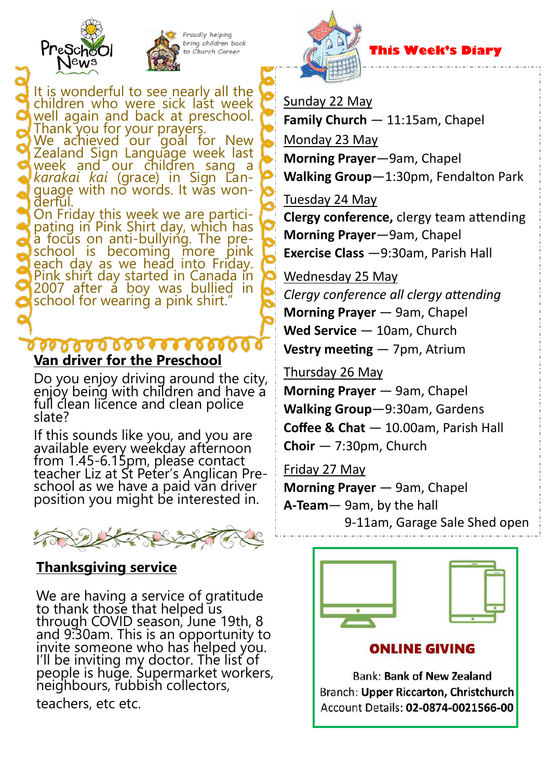



Proudly helping bring children back , Church Corne:

It is wonderful to see nearly all the children who were sick last week well again and back at preschool. Thank you for your prayers.  $\underline{\mathsf{W}}$ e achieved our goal for New  $\overline{\mathsf{W}}$ Zealand Sign Language week last week and our children sang a *karakai kai* (grace) in Sign Language with no words. It was wonderful. On Friday this week we are partici-

pating in Pink Shirt day, which has a focus on anti-bullying. The preschool is becoming more pink each day as we head into Friday. Pink shirt day started in Canada in 2007 after a boy was bullied in school for wearing a pink shirt.

#### **Van driver for the Preschool**

Do you enjoy driving around the city, enjoy being with children and have a full clean licence and clean police slate?

If this sounds like you, and you are available every weekday afternoon from 1.45-6.15pm, please contact teacher Liz at St Peter's Anglican Preschool as we have a paid van driver position you might be interested in.



## **Thanksgiving service**

We are having a service of gratitude to thank those that helped us through COVID season, June 19th, 8 and 9:30am. This is an opportunity to invite someone who has helped you. I'll be inviting my doctor. The list of people is huge. Supermarket workers, neighbours, rubbish collectors,

teachers, etc etc. Ĭ



### **This Week's Diary**

Sunday 22 May

**Family Church** — 11:15am, Chapel Monday 23 May **Morning Prayer**—9am, Chapel **Walking Group**—1:30pm, Fendalton Park

Tuesday 24 May

**Clergy conference,** clergy team attending **Morning Prayer**—9am, Chapel **Exercise Class** —9:30am, Parish Hall

Wednesday 25 May

*Clergy conference all clergy attending* **Morning Prayer** — 9am, Chapel **Wed Service** — 10am, Church **Vestry meeting** — 7pm, Atrium

Thursday 26 May

**Morning Prayer** — 9am, Chapel **Walking Group**—9:30am, Gardens **Coffee & Chat** — 10.00am, Parish Hall **Choir** — 7:30pm, Church

Friday 27 May

**Morning Prayer** — 9am, Chapel **A-Team**— 9am, by the hall 9-11am, Garage Sale Shed open





### **ONLINE GIVING**

**Bank: Bank of New Zealand** Branch: Upper Riccarton, Christchurch Account Details: 02-0874-0021566-00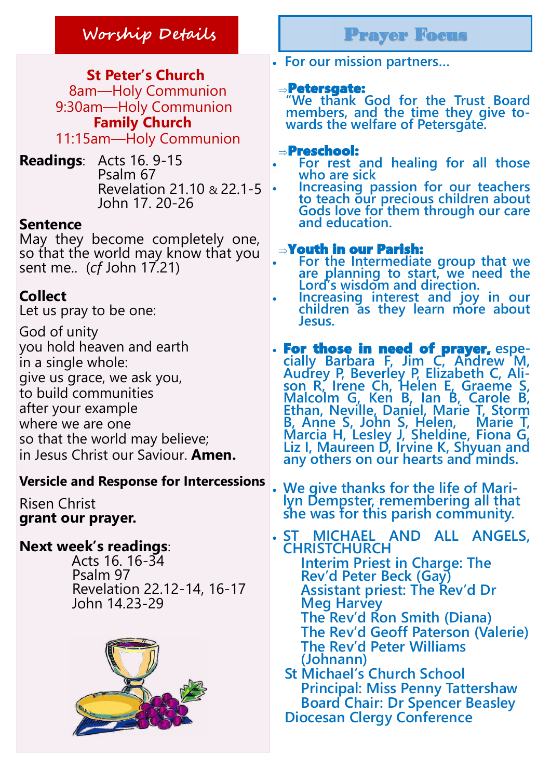# **Worship Details** Prayer Focus

 **St Peter's Church** 8am—Holy Communion 9:30am—Holy Communion **Family Church** 11:15am—Holy Communion

**Readings**: Acts 16. 9-15 Psalm 67 Revelation 21.10 & 22.1-5 John 17. 20-26

#### **Sentence**

May they become completely one, so that the world may know that you sent me.. (*cf* John 17.21)

### **Collect**

Let us pray to be one:

God of unity you hold heaven and earth in a single whole: give us grace, we ask you, to build communities after your example where we are one so that the world may believe; in Jesus Christ our Saviour. **Amen.**

### **Versicle and Response for Intercessions**

Risen Christ **grant our prayer.**

### **Next week's readings**:

 Acts 16. 16-34 Psalm 97 Revelation 22.12-14, 16-17 John 14.23-29



**For our mission partners…**

#### Petersgate:

**"We thank God for the Trust Board members, and the time they give towards the welfare of Petersgate.** 

#### Preschool:

- **For rest and healing for all those who are sick**
	- **Increasing passion for our teachers to teach our precious children about Gods love for them through our care and education.**

#### Youth in our Parish:

- **For the Intermediate group that we are planning to start, we need the Lord's wisdom and direction.**
- **Increasing interest and joy in our children as they learn more about Jesus.**
- For those in need of prayer, **espe**cially Barbara F, Jim C, Andrew M, **Audrey P, Beverley P, Elizabeth C, Alison R, Irene Ch, Helen E, Graeme S, Malcolm G, Ken B, Ian B, Carole B, Ethan, Neville, Daniel, Marie T, Storm B, Anne S, John S, Helen, Marie T, Marcia H, Lesley J, Sheldine, Fiona G, Liz I, Maureen D, Irvine K, Shyuan and any others on our hearts and minds.**

 **We give thanks for the life of Marilyn Dempster, remembering all that she was for this parish community.** 

 **ST MICHAEL AND ALL ANGELS, CHRISTCHURCH Interim Priest in Charge: The Rev'd Peter Beck (Gay) Assistant priest: The Rev'd Dr Meg Harvey The Rev'd Ron Smith (Diana) The Rev'd Geoff Paterson (Valerie) The Rev'd Peter Williams (Johnann) St Michael's Church School** 

**Principal: Miss Penny Tattershaw Board Chair: Dr Spencer Beasley Diocesan Clergy Conference**